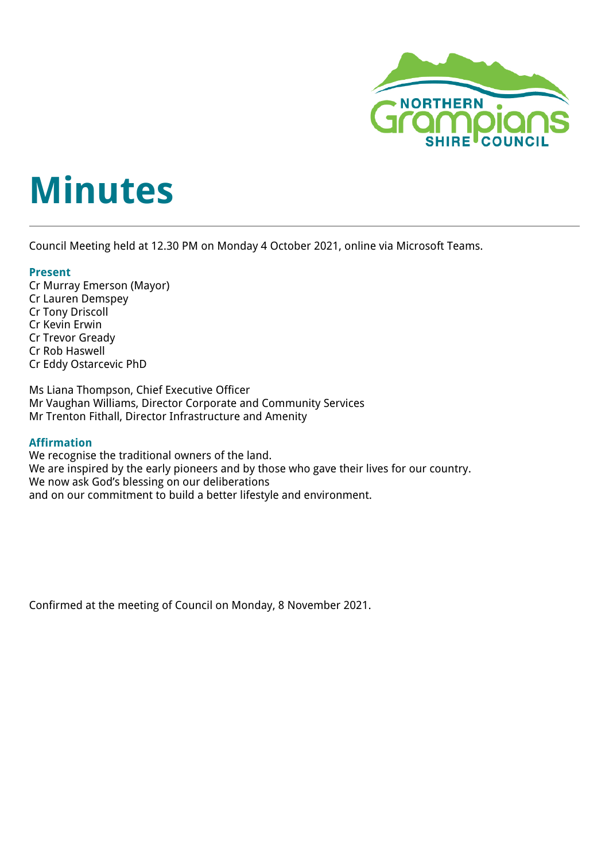

# **Minutes**

Council Meeting held at 12.30 PM on Monday 4 October 2021, online via Microsoft Teams.

## **Present**

Cr Murray Emerson (Mayor) Cr Lauren Demspey Cr Tony Driscoll Cr Kevin Erwin Cr Trevor Gready Cr Rob Haswell Cr Eddy Ostarcevic PhD

Ms Liana Thompson, Chief Executive Officer Mr Vaughan Williams, Director Corporate and Community Services Mr Trenton Fithall, Director Infrastructure and Amenity

## **Affirmation**

We recognise the traditional owners of the land. We are inspired by the early pioneers and by those who gave their lives for our country. We now ask God's blessing on our deliberations and on our commitment to build a better lifestyle and environment.

Confirmed at the meeting of Council on Monday, 8 November 2021.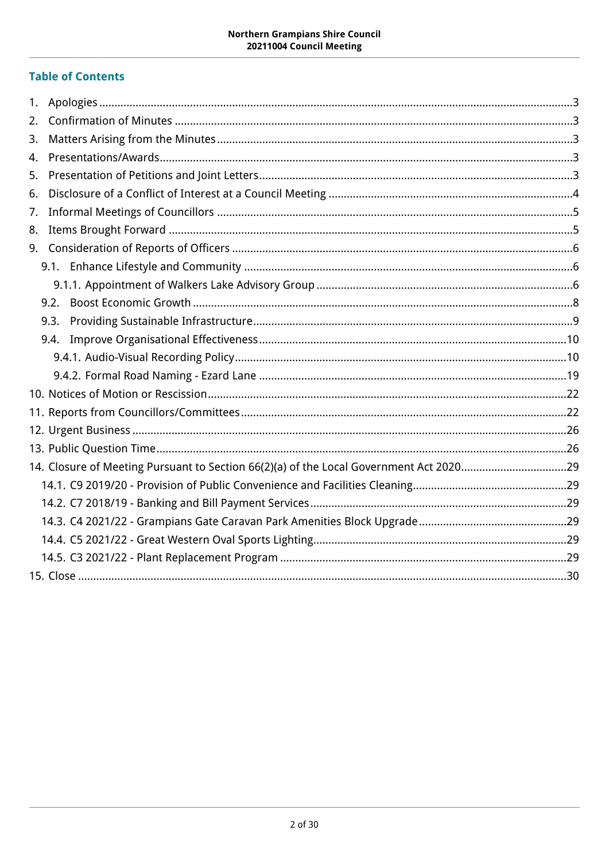## **Table of Contents**

| 1. |                                                                                        |  |
|----|----------------------------------------------------------------------------------------|--|
| 2. |                                                                                        |  |
| 3. |                                                                                        |  |
| 4. |                                                                                        |  |
| 5. |                                                                                        |  |
| 6. |                                                                                        |  |
| 7. |                                                                                        |  |
| 8. |                                                                                        |  |
|    |                                                                                        |  |
|    |                                                                                        |  |
|    |                                                                                        |  |
|    |                                                                                        |  |
|    | 9.3.                                                                                   |  |
|    |                                                                                        |  |
|    |                                                                                        |  |
|    |                                                                                        |  |
|    |                                                                                        |  |
|    |                                                                                        |  |
|    |                                                                                        |  |
|    |                                                                                        |  |
|    | 14. Closure of Meeting Pursuant to Section 66(2)(a) of the Local Government Act 202029 |  |
|    |                                                                                        |  |
|    |                                                                                        |  |
|    |                                                                                        |  |
|    |                                                                                        |  |
|    |                                                                                        |  |
|    |                                                                                        |  |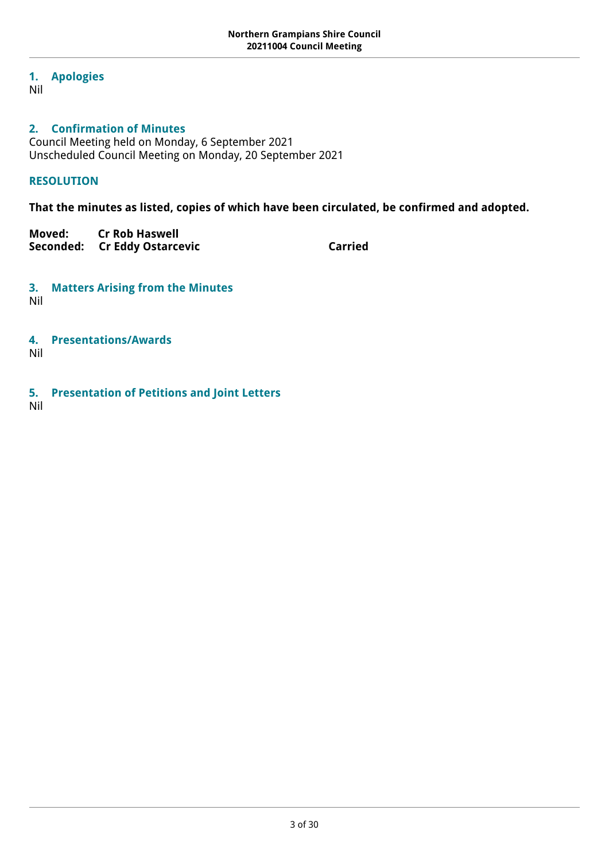## <span id="page-2-0"></span>**1. Apologies**

Nil

## <span id="page-2-1"></span>**2. Confirmation of Minutes**

Council Meeting held on Monday, 6 September 2021 Unscheduled Council Meeting on Monday, 20 September 2021

## **RESOLUTION**

**That the minutes as listed, copies of which have been circulated, be confirmed and adopted.**

**Moved: Cr Rob Haswell** Seconded: Cr Eddy Ostarcevic **Carried** Carried

<span id="page-2-2"></span>**3. Matters Arising from the Minutes**

Nil

<span id="page-2-3"></span>**4. Presentations/Awards**

Nil

<span id="page-2-4"></span>**5. Presentation of Petitions and Joint Letters**

Nil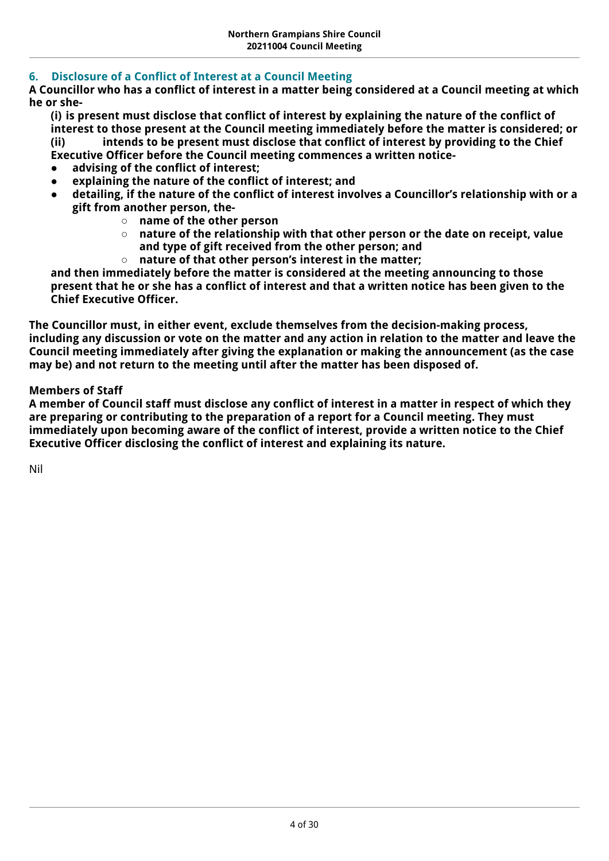## <span id="page-3-0"></span>**6. Disclosure of a Conflict of Interest at a Council Meeting**

**A Councillor who has a conflict of interest in a matter being considered at a Council meeting at which he or she-**

**(i) is present must disclose that conflict of interest by explaining the nature of the conflict of interest to those present at the Council meeting immediately before the matter is considered; or (ii) intends to be present must disclose that conflict of interest by providing to the Chief Executive Officer before the Council meeting commences a written notice-**

- **advising of the conflict of interest;**
- explaining the nature of the conflict of interest; and
- detailing, if the nature of the conflict of interest involves a Councillor's relationship with or a **gift from another person, the-**
	- **name of the other person**
	- **nature of the relationship with that other person or the date on receipt, value and type of gift received from the other person; and**
	- **nature of that other person's interest in the matter;**

**and then immediately before the matter is considered at the meeting announcing to those present that he or she has a conflict of interest and that a written notice has been given to the Chief Executive Officer.**

**The Councillor must, in either event, exclude themselves from the decision-making process, including any discussion or vote on the matter and any action in relation to the matter and leave the Council meeting immediately after giving the explanation or making the announcement (as the case may be) and not return to the meeting until after the matter has been disposed of.**

## **Members of Staff**

**A member of Council staff must disclose any conflict of interest in a matter in respect of which they are preparing or contributing to the preparation of a report for a Council meeting. They must immediately upon becoming aware of the conflict of interest, provide a written notice to the Chief Executive Officer disclosing the conflict of interest and explaining its nature.**

Nil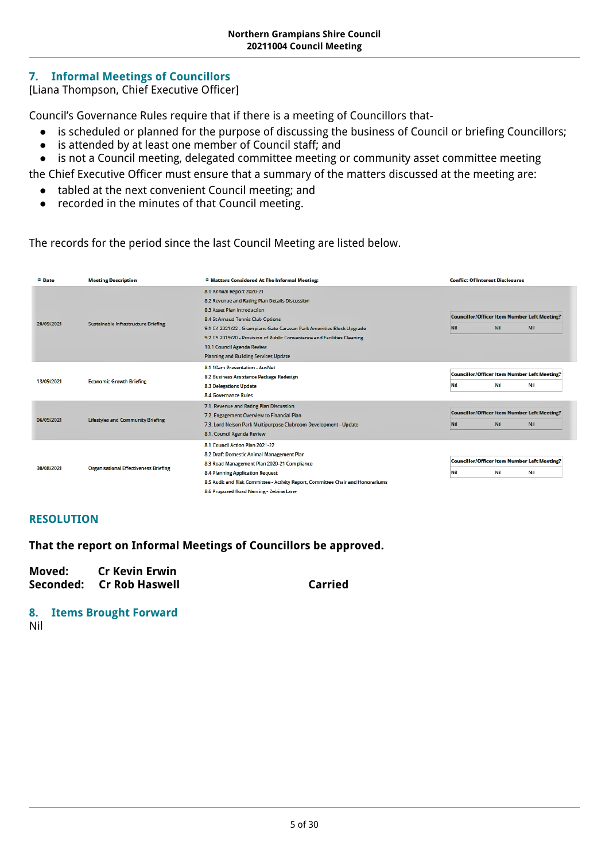## <span id="page-4-0"></span>**7. Informal Meetings of Councillors**

[Liana Thompson, Chief Executive Officer]

Council's Governance Rules require that if there is a meeting of Councillors that-

- is scheduled or planned for the purpose of discussing the business of Council or briefing Councillors;
- is attended by at least one member of Council staff; and
- is not a Council meeting, delegated committee meeting or community asset committee meeting

the Chief Executive Officer must ensure that a summary of the matters discussed at the meeting are:

- tabled at the next convenient Council meeting; and
- recorded in the minutes of that Council meeting.

The records for the period since the last Council Meeting are listed below.

| $\div$ Date | <b>Meeting Description</b>                   | ↓ Matters Considered At The Informal Meeting:                                   |                                                     | <b>Conflict Of Interest Disclosures</b> |                                                     |
|-------------|----------------------------------------------|---------------------------------------------------------------------------------|-----------------------------------------------------|-----------------------------------------|-----------------------------------------------------|
|             |                                              | 8.1 Annual Report 2020-21                                                       |                                                     |                                         |                                                     |
|             |                                              | 8.2 Revenue and Rating Plan Details Discussion                                  |                                                     |                                         |                                                     |
|             |                                              | 8.3 Asset Plan Introduction                                                     |                                                     |                                         |                                                     |
| 20/09/2021  |                                              | 8.4 St Arnaud Tennis Club Options                                               |                                                     |                                         | <b>Councillor/Officer Item Number Left Meeting?</b> |
|             | Sustainable Infrastructure Briefing          | 9.1 C4 2021/22 - Grampians Gate Caravan Park Amenities Block Upgrade            | Nil                                                 | Nil                                     | Nil                                                 |
|             |                                              | 9.2 C9 2019/20 - Provision of Public Convenience and Facilities Cleaning        |                                                     |                                         |                                                     |
|             |                                              | 10.1 Council Agenda Review                                                      |                                                     |                                         |                                                     |
|             |                                              | <b>Planning and Building Services Update</b>                                    |                                                     |                                         |                                                     |
|             | <b>Economic Growth Briefing</b>              | 8.1 10am Presentation - AusNet                                                  |                                                     |                                         |                                                     |
|             |                                              | 8.2 Business Assistance Package Redesign                                        | <b>Councillor/Officer Item Number Left Meeting?</b> |                                         |                                                     |
| 13/09/2021  |                                              | <b>8.3 Delegations Update</b>                                                   | Nil                                                 | Nil                                     | Nil                                                 |
|             |                                              | 8.4 Governance Rules                                                            |                                                     |                                         |                                                     |
|             | <b>Lifestyles and Community Briefing</b>     | 7.1. Revenue and Rating Plan Discussion                                         |                                                     |                                         |                                                     |
|             |                                              | 7.2. Engagement Overview to Financial Plan                                      | <b>Councillor/Officer Item Number Left Meeting?</b> |                                         |                                                     |
| 06/09/2021  |                                              | 7.3. Lord Nelson Park Multipurpose Clubroom Development - Update                | Nil                                                 | Nil                                     | Nil                                                 |
|             |                                              | 8.1. Council Agenda Review                                                      |                                                     |                                         |                                                     |
|             | <b>Organisational Effectiveness Briefing</b> | 8.1 Council Action Plan 2021-22                                                 |                                                     |                                         |                                                     |
|             |                                              | 8.2 Draft Domestic Animal Management Plan                                       |                                                     |                                         |                                                     |
|             |                                              | 8.3 Road Management Plan 2020-21 Compliance                                     | <b>Councillor/Officer Item Number Left Meeting?</b> |                                         |                                                     |
| 30/08/2021  |                                              | <b>8.4 Planning Application Request</b>                                         | Nil                                                 | Nil                                     | Nil                                                 |
|             |                                              | 8.5 Audit and Risk Committee - Activity Report, Committee Chair and Honorariums |                                                     |                                         |                                                     |
|             |                                              | 8.6 Proposed Road Naming - Zebina Lane                                          |                                                     |                                         |                                                     |

## **RESOLUTION**

**That the report on Informal Meetings of Councillors be approved.**

**Moved: Cr Kevin Erwin** Seconded: Cr Rob Haswell **Carried** Carried

<span id="page-4-1"></span>**8. Items Brought Forward** Nil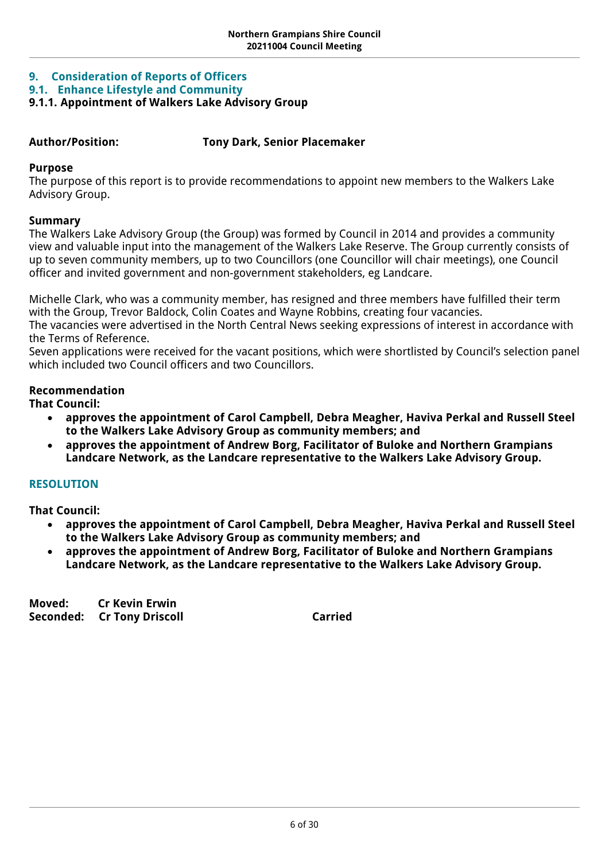## <span id="page-5-0"></span>**9. Consideration of Reports of Officers**

<span id="page-5-1"></span>**9.1. Enhance Lifestyle and Community**

## <span id="page-5-2"></span>**9.1.1. Appointment of Walkers Lake Advisory Group**

## **Author/Position: Tony Dark, Senior Placemaker**

## **Purpose**

The purpose of this report is to provide recommendations to appoint new members to the Walkers Lake Advisory Group.

## **Summary**

The Walkers Lake Advisory Group (the Group) was formed by Council in 2014 and provides a community view and valuable input into the management of the Walkers Lake Reserve. The Group currently consists of up to seven community members, up to two Councillors (one Councillor will chair meetings), one Council officer and invited government and non-government stakeholders, eg Landcare.

Michelle Clark, who was a community member, has resigned and three members have fulfilled their term with the Group, Trevor Baldock, Colin Coates and Wayne Robbins, creating four vacancies.

The vacancies were advertised in the North Central News seeking expressions of interest in accordance with the Terms of Reference.

Seven applications were received for the vacant positions, which were shortlisted by Council's selection panel which included two Council officers and two Councillors.

## **Recommendation**

**That Council:**

- **approves the appointment of Carol Campbell, Debra Meagher, Haviva Perkal and Russell Steel to the Walkers Lake Advisory Group as community members; and**
- **approves the appointment of Andrew Borg, Facilitator of Buloke and Northern Grampians Landcare Network, as the Landcare representative to the Walkers Lake Advisory Group.**

## **RESOLUTION**

**That Council:**

- **approves the appointment of Carol Campbell, Debra Meagher, Haviva Perkal and Russell Steel to the Walkers Lake Advisory Group as community members; and**
- **approves the appointment of Andrew Borg, Facilitator of Buloke and Northern Grampians Landcare Network, as the Landcare representative to the Walkers Lake Advisory Group.**

**Moved: Cr Kevin Erwin Seconded: Cr Tony Driscoll Carried Carried**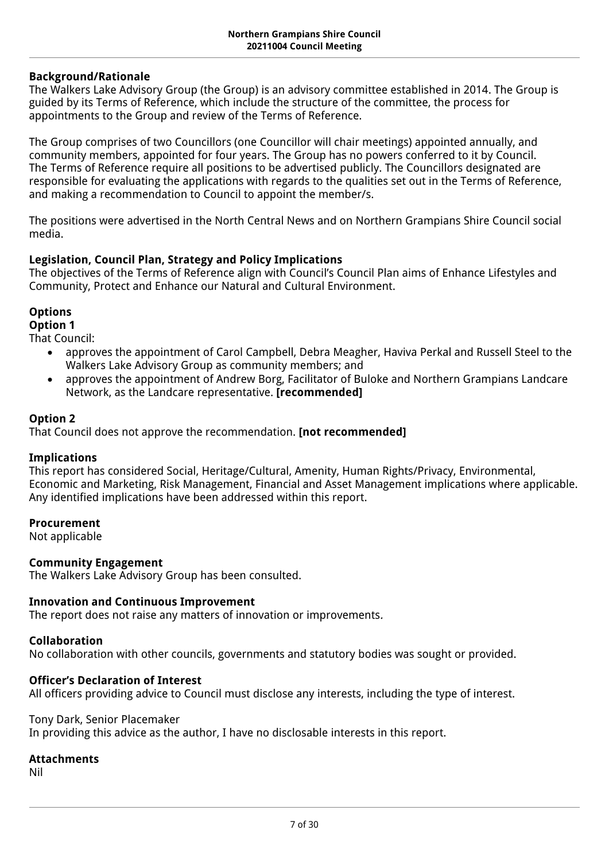## **Background/Rationale**

The Walkers Lake Advisory Group (the Group) is an advisory committee established in 2014. The Group is guided by its Terms of Reference, which include the structure of the committee, the process for appointments to the Group and review of the Terms of Reference.

The Group comprises of two Councillors (one Councillor will chair meetings) appointed annually, and community members, appointed for four years. The Group has no powers conferred to it by Council. The Terms of Reference require all positions to be advertised publicly. The Councillors designated are responsible for evaluating the applications with regards to the qualities set out in the Terms of Reference, and making a recommendation to Council to appoint the member/s.

The positions were advertised in the North Central News and on Northern Grampians Shire Council social media.

## **Legislation, [Council Plan](https://northerngrampiansshire.sharepoint.com/:w:/s/Finance/EbSqlK3ZR1JBpeoaUDSM6wYBI17jS3S-1Y0QeMwFznW4uw?e=raFkIp&wdLOR=cD9E1C91E-8842-48B4-9A77-6B8AC9D433AC)[,](https://docs.google.com/document/d/15hJirPjjxh1_9YgI9CUFlN1_nOLrIs9ojxVxlZYIGto/edit) Strategy and Policy Implications**

The objectives of the Terms of Reference align with Council's Council Plan aims of Enhance Lifestyles and Community, Protect and Enhance our Natural and Cultural Environment.

## **Options**

## **Option 1**

That Council:

- approves the appointment of Carol Campbell, Debra Meagher, Haviva Perkal and Russell Steel to the Walkers Lake Advisory Group as community members; and
- approves the appointment of Andrew Borg, Facilitator of Buloke and Northern Grampians Landcare Network, as the Landcare representative. **[recommended]**

## **Option 2**

That Council does not approve the recommendation. **[not recommended]**

## **Implications**

This report has considered Social, Heritage/Cultural, Amenity, Human Rights/Privacy, Environmental, Economic and Marketing, Risk Management, Financial and Asset Management implications where applicable. Any identified implications have been addressed within this report.

## **Procurement**

Not applicable

## **Community Engagement**

The Walkers Lake Advisory Group has been consulted.

### **Innovation and Continuous Improvement**

The report does not raise any matters of innovation or improvements*.*

### **Collaboration**

No collaboration with other councils, governments and statutory bodies was sought or provided.

## **Officer's Declaration of Interest**

All officers providing advice to Council must disclose any interests, including the type of interest.

### Tony Dark, Senior Placemaker

In providing this advice as the author, I have no disclosable interests in this report.

## **Attachments**

Nil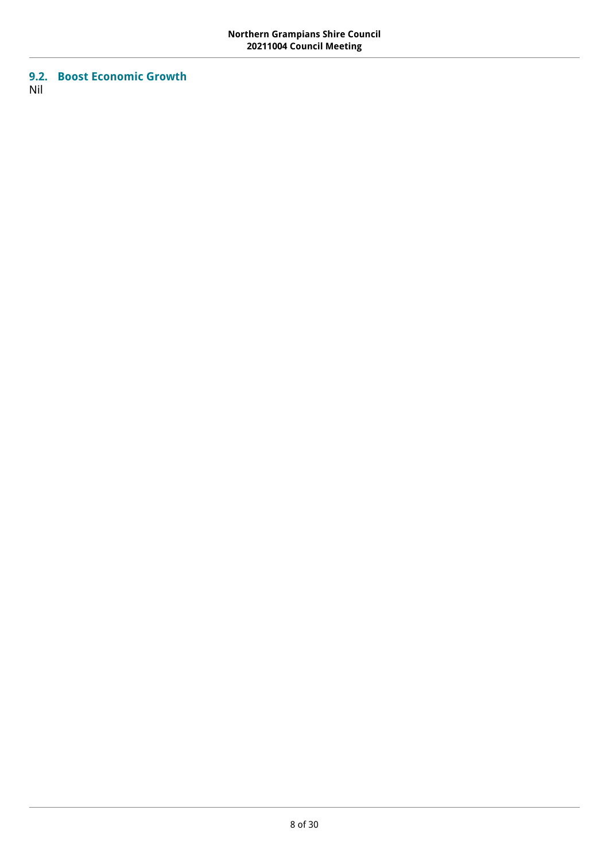## <span id="page-7-0"></span>**9.2. Boost Economic Growth** Nil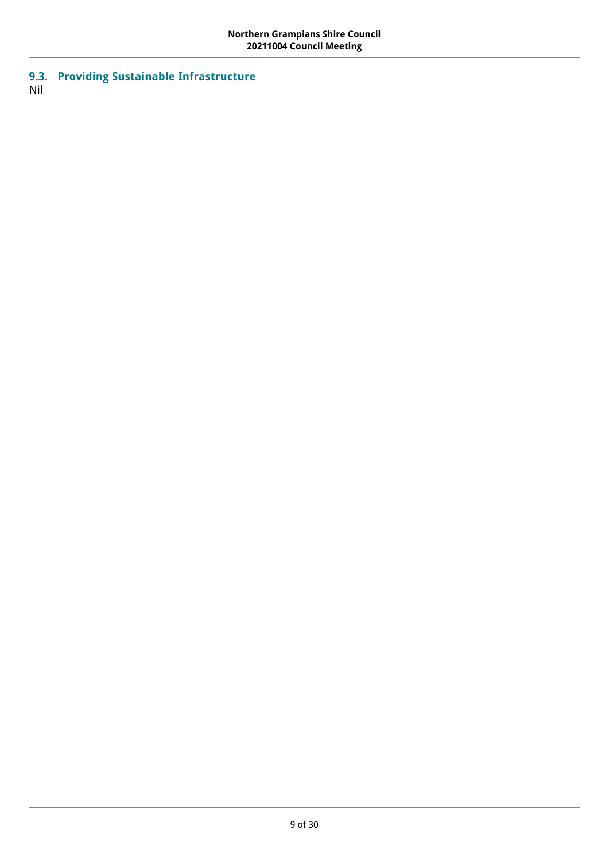<span id="page-8-0"></span>**9.3. Providing Sustainable Infrastructure** Nil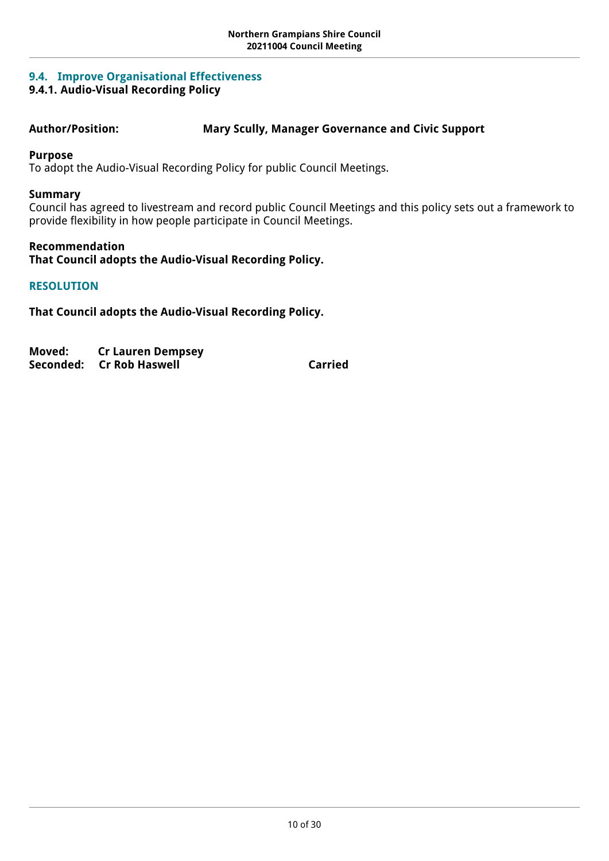## <span id="page-9-0"></span>**9.4. Improve Organisational Effectiveness**

## <span id="page-9-1"></span>**9.4.1. Audio-Visual Recording Policy**

## **Author/Position: Mary Scully, Manager Governance and Civic Support**

## **Purpose**

To adopt the Audio-Visual Recording Policy for public Council Meetings.

## **Summary**

Council has agreed to livestream and record public Council Meetings and this policy sets out a framework to provide flexibility in how people participate in Council Meetings.

## **Recommendation**

**That Council adopts the Audio-Visual Recording Policy.**

## **RESOLUTION**

**That Council adopts the Audio-Visual Recording Policy.** 

| Moved: | <b>Cr Lauren Dempsey</b>  |         |
|--------|---------------------------|---------|
|        | Seconded:  Cr Rob Haswell | Carried |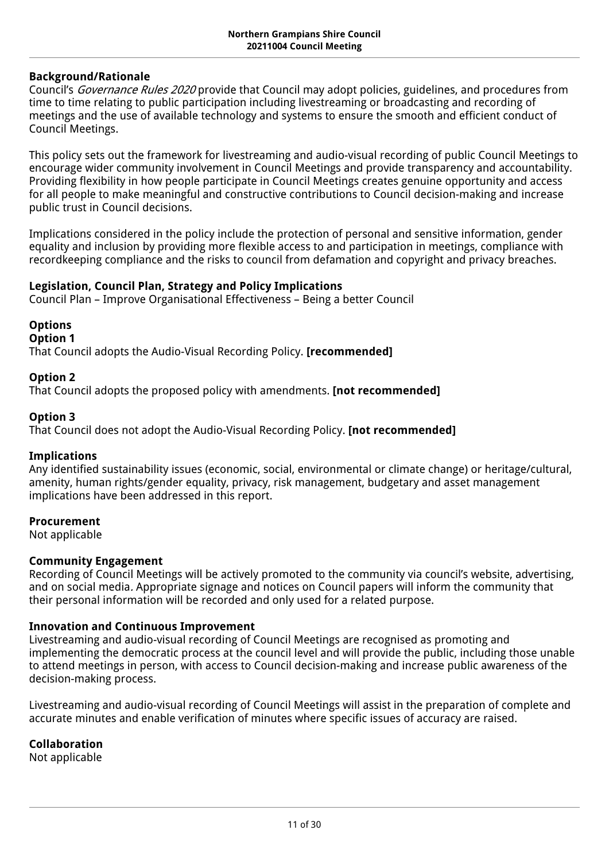## **Background/Rationale**

Council's *Governance Rules 2020* provide that Council may adopt policies, guidelines, and procedures from time to time relating to public participation including livestreaming or broadcasting and recording of meetings and the use of available technology and systems to ensure the smooth and efficient conduct of Council Meetings.

This policy sets out the framework for livestreaming and audio-visual recording of public Council Meetings to encourage wider community involvement in Council Meetings and provide transparency and accountability. Providing flexibility in how people participate in Council Meetings creates genuine opportunity and access for all people to make meaningful and constructive contributions to Council decision-making and increase public trust in Council decisions.

Implications considered in the policy include the protection of personal and sensitive information, gender equality and inclusion by providing more flexible access to and participation in meetings, compliance with recordkeeping compliance and the risks to council from defamation and copyright and privacy breaches.

## **Legislation, [Council Plan](https://northerngrampiansshire.sharepoint.com/:w:/s/Finance/EbSqlK3ZR1JBpeoaUDSM6wYBI17jS3S-1Y0QeMwFznW4uw?e=raFkIp&wdLOR=cD9E1C91E-8842-48B4-9A77-6B8AC9D433AC)[,](https://docs.google.com/document/d/15hJirPjjxh1_9YgI9CUFlN1_nOLrIs9ojxVxlZYIGto/edit) Strategy and Policy Implications**

Council Plan – Improve Organisational Effectiveness – Being a better Council

**Options**

**Option 1**

That Council adopts the Audio-Visual Recording Policy. **[recommended]**

## **Option 2**

That Council adopts the proposed policy with amendments. **[not recommended]**

## **Option 3**

That Council does not adopt the Audio-Visual Recording Policy. **[not recommended]**

### **Implications**

Any identified sustainability issues (economic, social, environmental or climate change) or heritage/cultural, amenity, human rights/gender equality, privacy, risk management, budgetary and asset management implications have been addressed in this report.

### **Procurement**

Not applicable

## **Community Engagement**

Recording of Council Meetings will be actively promoted to the community via council's website, advertising, and on social media*.* Appropriate signage and notices on Council papers will inform the community that their personal information will be recorded and only used for a related purpose.

## **Innovation and Continuous Improvement**

Livestreaming and audio-visual recording of Council Meetings are recognised as promoting and implementing the democratic process at the council level and will provide the public, including those unable to attend meetings in person, with access to Council decision-making and increase public awareness of the decision-making process.

Livestreaming and audio-visual recording of Council Meetings will assist in the preparation of complete and accurate minutes and enable verification of minutes where specific issues of accuracy are raised.

## **Collaboration**

Not applicable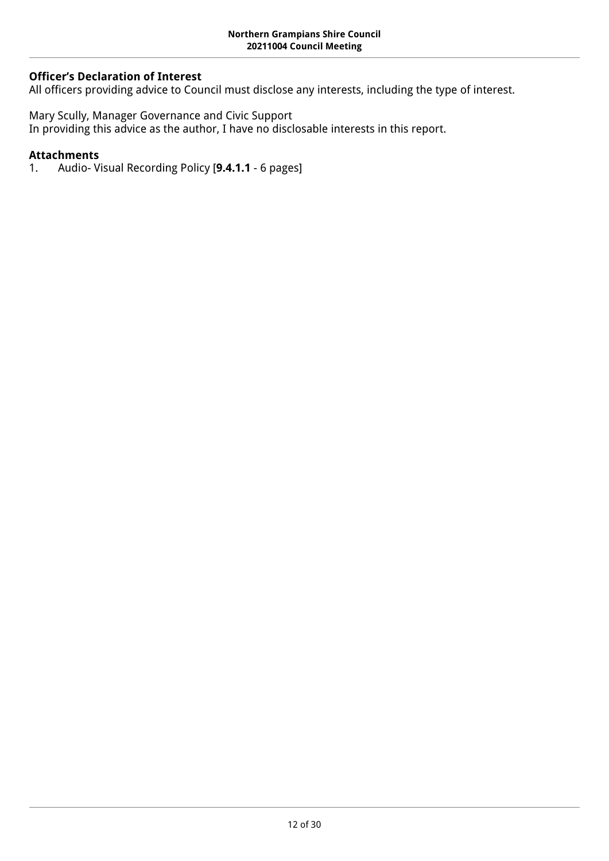## **Officer's Declaration of Interest**

All officers providing advice to Council must disclose any interests, including the type of interest.

Mary Scully, Manager Governance and Civic Support In providing this advice as the author, I have no disclosable interests in this report.

## **Attachments**

1. Audio- Visual Recording Policy [**9.4.1.1** - 6 pages]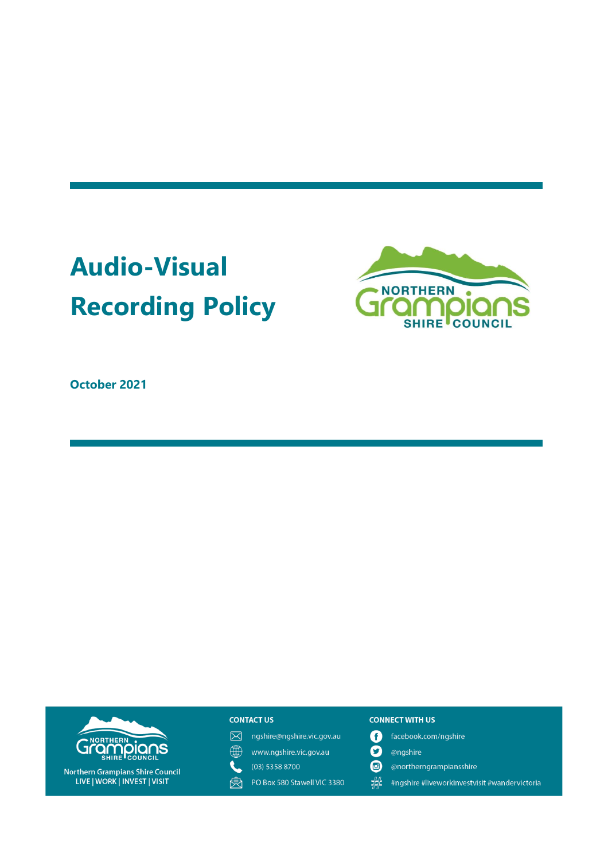## **Audio-Visual Recording Policy**



October 2021



Northern Grampians Shire Council<br>LIVE | WORK | INVEST | VISIT

### **CONTACT US**

- M ngshire@ngshire.vic.gov.au
- $\bigoplus$ www.ngshire.vic.gov.au
- $\mathbf{Q}$  $(03)$  5358 8700
- PO Box 580 Stawell VIC 3380 肉

#### **CONNECT WITH US**

- facebook.com/ngshire 0
- O @ngshire
- $\bf \bm \omega$ @northerngrampiansshire
- 器 #ngshire #liveworkinvestvisit #wandervictoria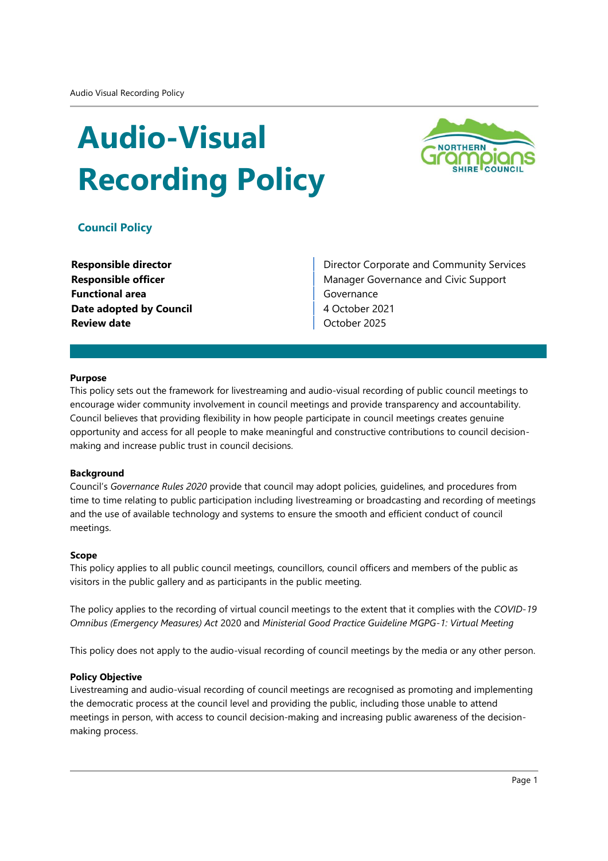## **Audio-Visual Recording Policy**



## **Council Policy**

| <b>Responsible director</b>    |
|--------------------------------|
| <b>Responsible officer</b>     |
| <b>Functional area</b>         |
| <b>Date adopted by Council</b> |
| <b>Review date</b>             |

Director Corporate and Community Services Manager Governance and Civic Support Governance 4 October 2021 October 2025

#### **Purpose**

This policy sets out the framework for livestreaming and audio-visual recording of public council meetings to encourage wider community involvement in council meetings and provide transparency and accountability. Council believes that providing flexibility in how people participate in council meetings creates genuine opportunity and access for all people to make meaningful and constructive contributions to council decisionmaking and increase public trust in council decisions.

#### **Background**

Council's Governance Rules 2020 provide that council may adopt policies, quidelines, and procedures from time to time relating to public participation including livestreaming or broadcasting and recording of meetings and the use of available technology and systems to ensure the smooth and efficient conduct of council meetings.

#### **Scope**

This policy applies to all public council meetings, councillors, council officers and members of the public as visitors in the public gallery and as participants in the public meeting.

The policy applies to the recording of virtual council meetings to the extent that it complies with the COVID-19 Omnibus (Emergency Measures) Act 2020 and Ministerial Good Practice Guideline MGPG-1: Virtual Meeting

This policy does not apply to the audio-visual recording of council meetings by the media or any other person.

#### **Policy Objective**

Livestreaming and audio-visual recording of council meetings are recognised as promoting and implementing the democratic process at the council level and providing the public, including those unable to attend meetings in person, with access to council decision-making and increasing public awareness of the decisionmaking process.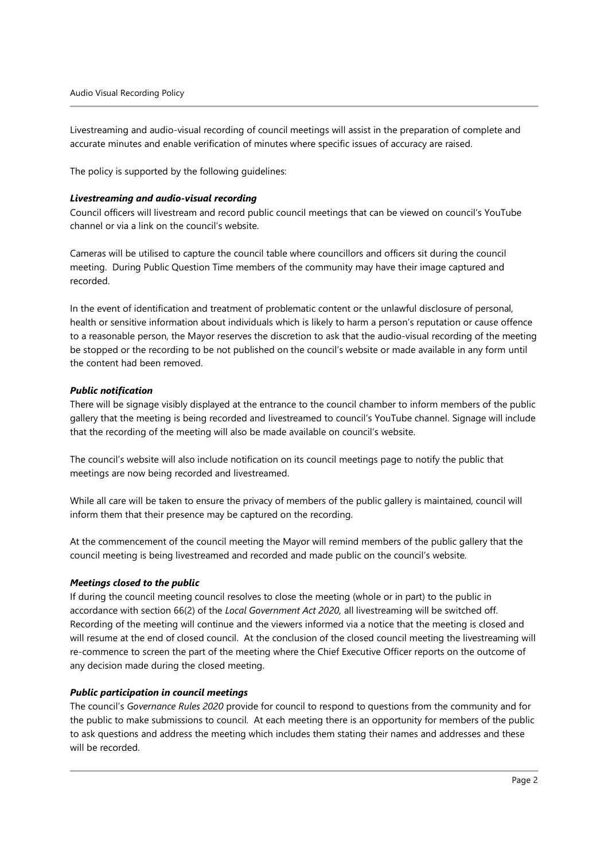Livestreaming and audio-visual recording of council meetings will assist in the preparation of complete and accurate minutes and enable verification of minutes where specific issues of accuracy are raised.

The policy is supported by the following guidelines:

#### Livestreaming and audio-visual recording

Council officers will livestream and record public council meetings that can be viewed on council's YouTube channel or via a link on the council's website.

Cameras will be utilised to capture the council table where councillors and officers sit during the council meeting. During Public Question Time members of the community may have their image captured and recorded.

In the event of identification and treatment of problematic content or the unlawful disclosure of personal, health or sensitive information about individuals which is likely to harm a person's reputation or cause offence to a reasonable person, the Mayor reserves the discretion to ask that the audio-visual recording of the meeting be stopped or the recording to be not published on the council's website or made available in any form until the content had been removed.

#### **Public notification**

There will be signage visibly displayed at the entrance to the council chamber to inform members of the public gallery that the meeting is being recorded and livestreamed to council's YouTube channel. Signage will include that the recording of the meeting will also be made available on council's website.

The council's website will also include notification on its council meetings page to notify the public that meetings are now being recorded and livestreamed.

While all care will be taken to ensure the privacy of members of the public gallery is maintained, council will inform them that their presence may be captured on the recording.

At the commencement of the council meeting the Mayor will remind members of the public gallery that the council meeting is being livestreamed and recorded and made public on the council's website.

### Meetings closed to the public

If during the council meeting council resolves to close the meeting (whole or in part) to the public in accordance with section 66(2) of the Local Government Act 2020, all livestreaming will be switched off. Recording of the meeting will continue and the viewers informed via a notice that the meeting is closed and will resume at the end of closed council. At the conclusion of the closed council meeting the livestreaming will re-commence to screen the part of the meeting where the Chief Executive Officer reports on the outcome of any decision made during the closed meeting.

#### Public participation in council meetings

The council's Governance Rules 2020 provide for council to respond to questions from the community and for the public to make submissions to council. At each meeting there is an opportunity for members of the public to ask questions and address the meeting which includes them stating their names and addresses and these will be recorded.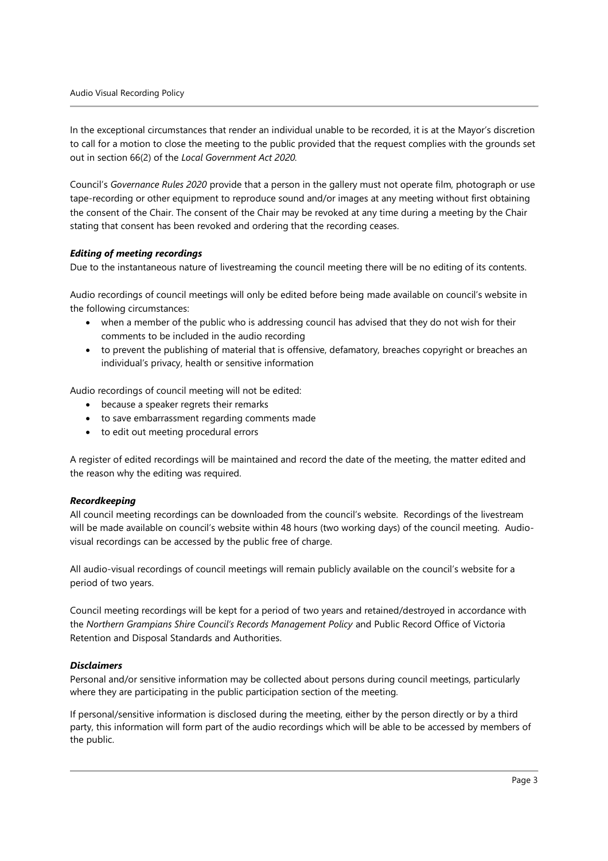In the exceptional circumstances that render an individual unable to be recorded, it is at the Mayor's discretion to call for a motion to close the meeting to the public provided that the request complies with the grounds set out in section 66(2) of the Local Government Act 2020.

Council's Governance Rules 2020 provide that a person in the gallery must not operate film, photograph or use tape-recording or other equipment to reproduce sound and/or images at any meeting without first obtaining the consent of the Chair. The consent of the Chair may be revoked at any time during a meeting by the Chair stating that consent has been revoked and ordering that the recording ceases.

#### **Editing of meeting recordings**

Due to the instantaneous nature of livestreaming the council meeting there will be no editing of its contents.

Audio recordings of council meetings will only be edited before being made available on council's website in the following circumstances:

- when a member of the public who is addressing council has advised that they do not wish for their comments to be included in the audio recording
- to prevent the publishing of material that is offensive, defamatory, breaches copyright or breaches an individual's privacy, health or sensitive information

Audio recordings of council meeting will not be edited:

- because a speaker regrets their remarks
- to save embarrassment regarding comments made
- to edit out meeting procedural errors

A register of edited recordings will be maintained and record the date of the meeting, the matter edited and the reason why the editing was required.

#### Recordkeeping

All council meeting recordings can be downloaded from the council's website. Recordings of the livestream will be made available on council's website within 48 hours (two working days) of the council meeting. Audiovisual recordings can be accessed by the public free of charge.

All audio-visual recordings of council meetings will remain publicly available on the council's website for a period of two years.

Council meeting recordings will be kept for a period of two years and retained/destroyed in accordance with the Northern Grampians Shire Council's Records Management Policy and Public Record Office of Victoria Retention and Disposal Standards and Authorities.

#### **Disclaimers**

Personal and/or sensitive information may be collected about persons during council meetings, particularly where they are participating in the public participation section of the meeting.

If personal/sensitive information is disclosed during the meeting, either by the person directly or by a third party, this information will form part of the audio recordings which will be able to be accessed by members of the public.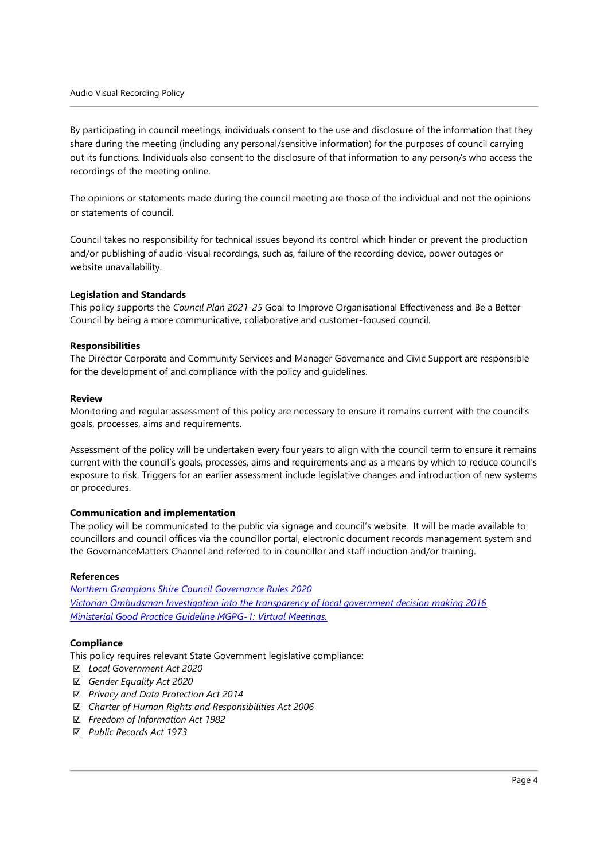By participating in council meetings, individuals consent to the use and disclosure of the information that they share during the meeting (including any personal/sensitive information) for the purposes of council carrying out its functions. Individuals also consent to the disclosure of that information to any person/s who access the recordings of the meeting online.

The opinions or statements made during the council meeting are those of the individual and not the opinions or statements of council.

Council takes no responsibility for technical issues beyond its control which hinder or prevent the production and/or publishing of audio-visual recordings, such as, failure of the recording device, power outages or website unavailability.

#### **Legislation and Standards**

This policy supports the Council Plan 2021-25 Goal to Improve Organisational Effectiveness and Be a Better Council by being a more communicative, collaborative and customer-focused council.

#### **Responsibilities**

The Director Corporate and Community Services and Manager Governance and Civic Support are responsible for the development of and compliance with the policy and guidelines.

#### **Review**

Monitoring and regular assessment of this policy are necessary to ensure it remains current with the council's goals, processes, aims and requirements.

Assessment of the policy will be undertaken every four years to align with the council term to ensure it remains current with the council's goals, processes, aims and requirements and as a means by which to reduce council's exposure to risk. Triggers for an earlier assessment include legislative changes and introduction of new systems or procedures.

#### **Communication and implementation**

The policy will be communicated to the public via signage and council's website. It will be made available to councillors and council offices via the councillor portal, electronic document records management system and the GovernanceMatters Channel and referred to in councillor and staff induction and/or training.

#### **References**

**Northern Grampians Shire Council Governance Rules 2020** Victorian Ombudsman Investigation into the transparency of local government decision making 2016 Ministerial Good Practice Guideline MGPG-1: Virtual Meetings.

#### **Compliance**

This policy requires relevant State Government legislative compliance:

- ☑ Local Government Act 2020
- □ Gender Equality Act 2020
- ☑ Privacy and Data Protection Act 2014
- ☑ Charter of Human Rights and Responsibilities Act 2006
- □ Freedom of Information Act 1982
- ☑ Public Records Act 1973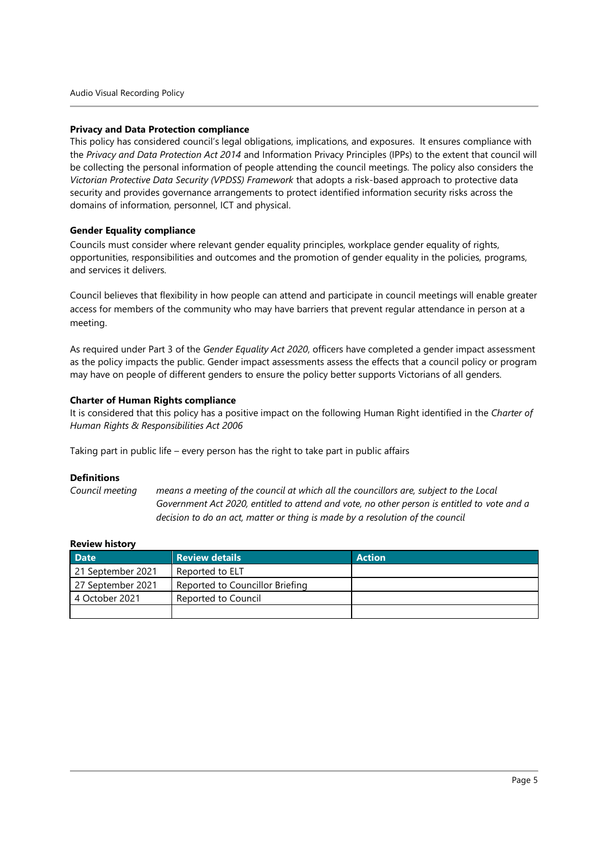#### **Privacy and Data Protection compliance**

This policy has considered council's legal obligations, implications, and exposures. It ensures compliance with the Privacy and Data Protection Act 2014 and Information Privacy Principles (IPPs) to the extent that council will be collecting the personal information of people attending the council meetings. The policy also considers the Victorian Protective Data Security (VPDSS) Framework that adopts a risk-based approach to protective data security and provides governance arrangements to protect identified information security risks across the domains of information, personnel, ICT and physical.

#### **Gender Equality compliance**

Councils must consider where relevant gender equality principles, workplace gender equality of rights, opportunities, responsibilities and outcomes and the promotion of gender equality in the policies, programs, and services it delivers.

Council believes that flexibility in how people can attend and participate in council meetings will enable greater access for members of the community who may have barriers that prevent regular attendance in person at a meeting.

As required under Part 3 of the Gender Equality Act 2020, officers have completed a gender impact assessment as the policy impacts the public. Gender impact assessments assess the effects that a council policy or program may have on people of different genders to ensure the policy better supports Victorians of all genders.

#### **Charter of Human Rights compliance**

It is considered that this policy has a positive impact on the following Human Right identified in the Charter of Human Rights & Responsibilities Act 2006

Taking part in public life - every person has the right to take part in public affairs

#### **Definitions**

Council meeting means a meeting of the council at which all the councillors are, subject to the Local Government Act 2020, entitled to attend and vote, no other person is entitled to vote and a decision to do an act, matter or thing is made by a resolution of the council

#### Review history

| <b>Date</b>       | <b>Review details</b>           | <b>Action</b> |
|-------------------|---------------------------------|---------------|
| 21 September 2021 | Reported to ELT                 |               |
| 27 September 2021 | Reported to Councillor Briefing |               |
| 4 October 2021    | Reported to Council             |               |
|                   |                                 |               |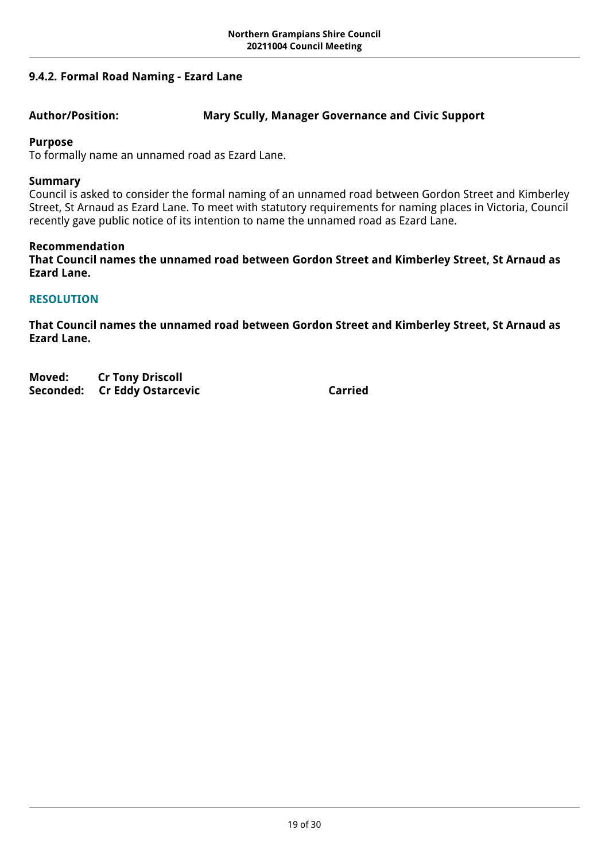## <span id="page-18-0"></span>**9.4.2. Formal Road Naming - Ezard Lane**

## **Author/Position: Mary Scully, Manager Governance and Civic Support**

## **Purpose**

To formally name an unnamed road as Ezard Lane.

## **Summary**

Council is asked to consider the formal naming of an unnamed road between Gordon Street and Kimberley Street, St Arnaud as Ezard Lane. To meet with statutory requirements for naming places in Victoria, Council recently gave public notice of its intention to name the unnamed road as Ezard Lane.

## **Recommendation**

**That Council names the unnamed road between Gordon Street and Kimberley Street, St Arnaud as Ezard Lane.**

## **RESOLUTION**

**That Council names the unnamed road between Gordon Street and Kimberley Street, St Arnaud as Ezard Lane.** 

**Moved: Cr Tony Driscoll Seconded: Cr Eddy Ostarcevic Carried Carried**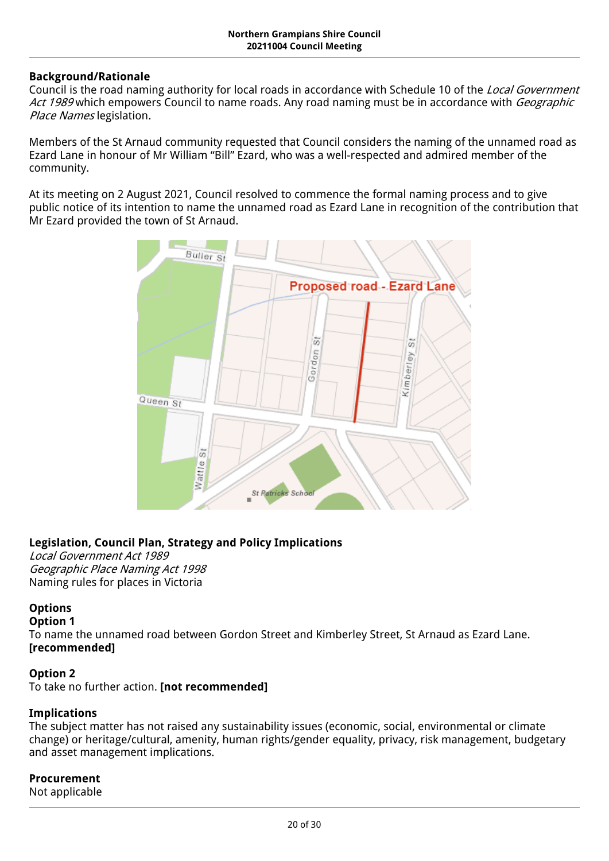## **Background/Rationale**

Council is the road naming authority for local roads in accordance with Schedule 10 of the *Local Government Act 1989* which empowers Council to name roads. Any road naming must be in accordance with *Geographic Place Names* legislation.

Members of the St Arnaud community requested that Council considers the naming of the unnamed road as Ezard Lane in honour of Mr William "Bill" Ezard, who was a well-respected and admired member of the community.

At its meeting on 2 August 2021, Council resolved to commence the formal naming process and to give public notice of its intention to name the unnamed road as Ezard Lane in recognition of the contribution that Mr Ezard provided the town of St Arnaud.



## **Legislation, [Council Plan](https://northerngrampiansshire.sharepoint.com/:w:/s/Finance/EbSqlK3ZR1JBpeoaUDSM6wYBI17jS3S-1Y0QeMwFznW4uw?e=raFkIp&wdLOR=cD9E1C91E-8842-48B4-9A77-6B8AC9D433AC)[,](https://docs.google.com/document/d/15hJirPjjxh1_9YgI9CUFlN1_nOLrIs9ojxVxlZYIGto/edit) Strategy and Policy Implications**

*Local Government Act 1989 Geographic Place Naming Act 1998* Naming rules for places in Victoria

## **Options**

### **Option 1**

To name the unnamed road between Gordon Street and Kimberley Street, St Arnaud as Ezard Lane. **[recommended]**

## **Option 2**

To take no further action. **[not recommended]**

## **Implications**

The subject matter has not raised any sustainability issues (economic, social, environmental or climate change) or heritage/cultural, amenity, human rights/gender equality, privacy, risk management, budgetary and asset management implications.

### **Procurement**

Not applicable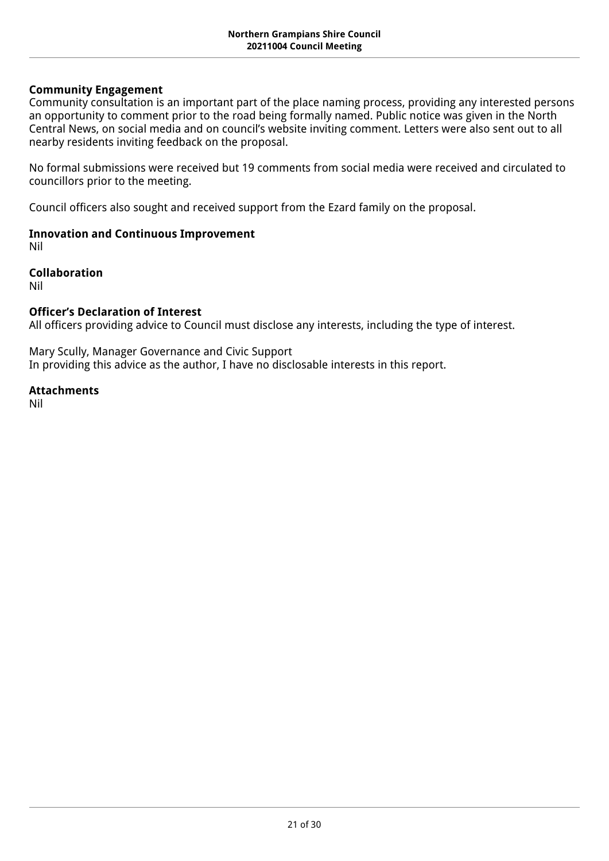## **Community Engagement**

Community consultation is an important part of the place naming process, providing any interested persons an opportunity to comment prior to the road being formally named. Public notice was given in the North Central News, on social media and on council's website inviting comment. Letters were also sent out to all nearby residents inviting feedback on the proposal.

No formal submissions were received but 19 comments from social media were received and circulated to councillors prior to the meeting.

Council officers also sought and received support from the Ezard family on the proposal.

## **Innovation and Continuous Improvement**

Nil

## **Collaboration**

Nil

## **Officer's Declaration of Interest**

All officers providing advice to Council must disclose any interests, including the type of interest.

Mary Scully, Manager Governance and Civic Support In providing this advice as the author, I have no disclosable interests in this report.

## **Attachments**

Nil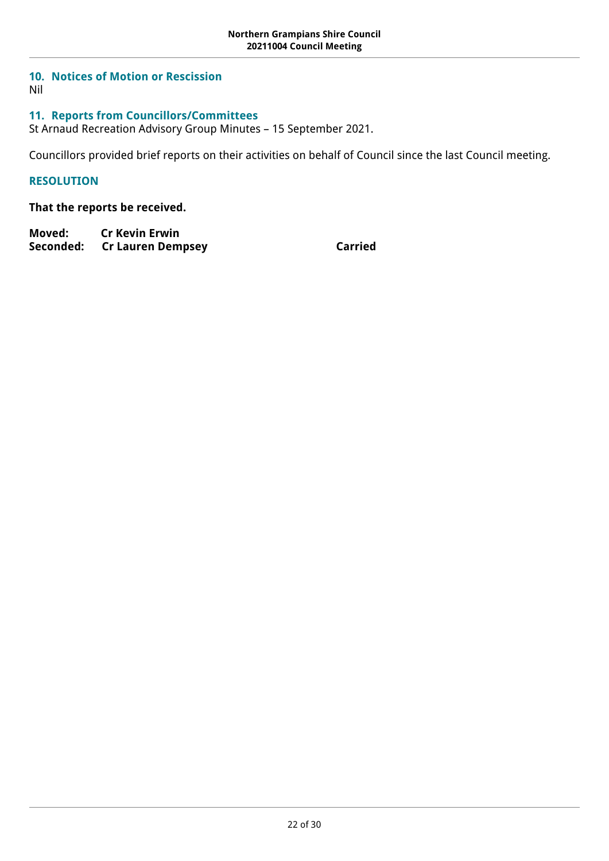## <span id="page-21-0"></span>**10. Notices of Motion or Rescission**

Nil

## <span id="page-21-1"></span>**11. Reports from Councillors/Committees**

St Arnaud Recreation Advisory Group Minutes – 15 September 2021.

Councillors provided brief reports on their activities on behalf of Council since the last Council meeting.

## **RESOLUTION**

## **That the reports be received.**

**Moved: Cr Kevin Erwin** Seconded: Cr Lauren Dempsey **Carried**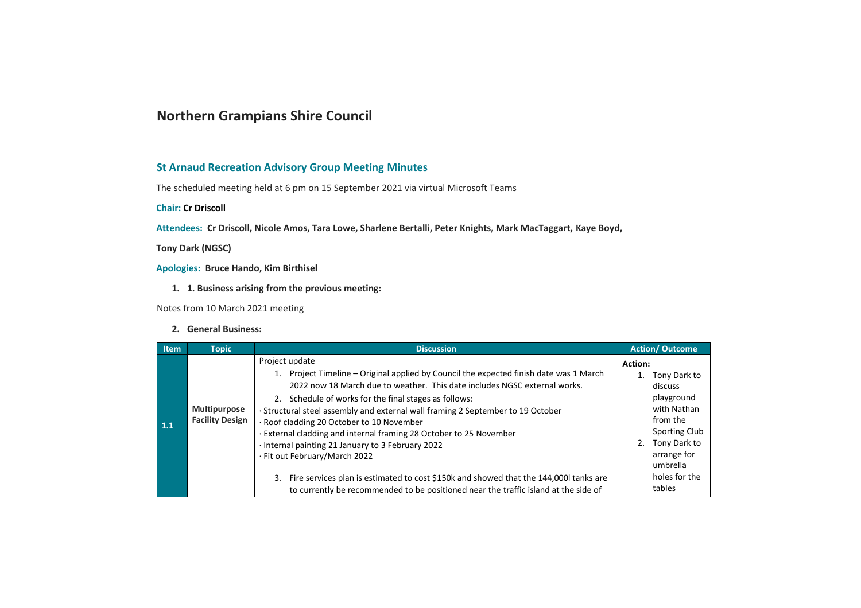## **Northern Grampians Shire Council**

#### **St Arnaud Recreation Advisory Group Meeting Minutes**

The scheduled meeting held at 6 pm on 15 September 2021 via virtual Microsoft Teams

**Chair: Cr Driscoll** 

Attendees: Cr Driscoll, Nicole Amos, Tara Lowe, Sharlene Bertalli, Peter Knights, Mark MacTaggart, Kaye Boyd,

**Tony Dark (NGSC)** 

Apologies: Bruce Hando, Kim Birthisel

1. 1. Business arising from the previous meeting:

Notes from 10 March 2021 meeting

#### 2. General Business:

| <b>Item</b>       | <b>Topic</b>                                  | <b>Discussion</b>                                                                                                                                                                                                                                                                                                                                                                                                                                                                                                                                                                                                                                                                                                          | <b>Action/Outcome</b>                                                                                                                                                    |
|-------------------|-----------------------------------------------|----------------------------------------------------------------------------------------------------------------------------------------------------------------------------------------------------------------------------------------------------------------------------------------------------------------------------------------------------------------------------------------------------------------------------------------------------------------------------------------------------------------------------------------------------------------------------------------------------------------------------------------------------------------------------------------------------------------------------|--------------------------------------------------------------------------------------------------------------------------------------------------------------------------|
| $\vert 1.1 \vert$ | <b>Multipurpose</b><br><b>Facility Design</b> | Project update<br>1. Project Timeline – Original applied by Council the expected finish date was 1 March<br>2022 now 18 March due to weather. This date includes NGSC external works.<br>2. Schedule of works for the final stages as follows:<br>Structural steel assembly and external wall framing 2 September to 19 October<br>· Roof cladding 20 October to 10 November<br>External cladding and internal framing 28 October to 25 November<br>Internal painting 21 January to 3 February 2022<br>· Fit out February/March 2022<br>Fire services plan is estimated to cost \$150k and showed that the 144,000l tanks are<br>3.<br>to currently be recommended to be positioned near the traffic island at the side of | Action:<br>1. Tony Dark to<br>discuss<br>playground<br>with Nathan<br>from the<br>Sporting Club<br>2. Tony Dark to<br>arrange for<br>umbrella<br>holes for the<br>tables |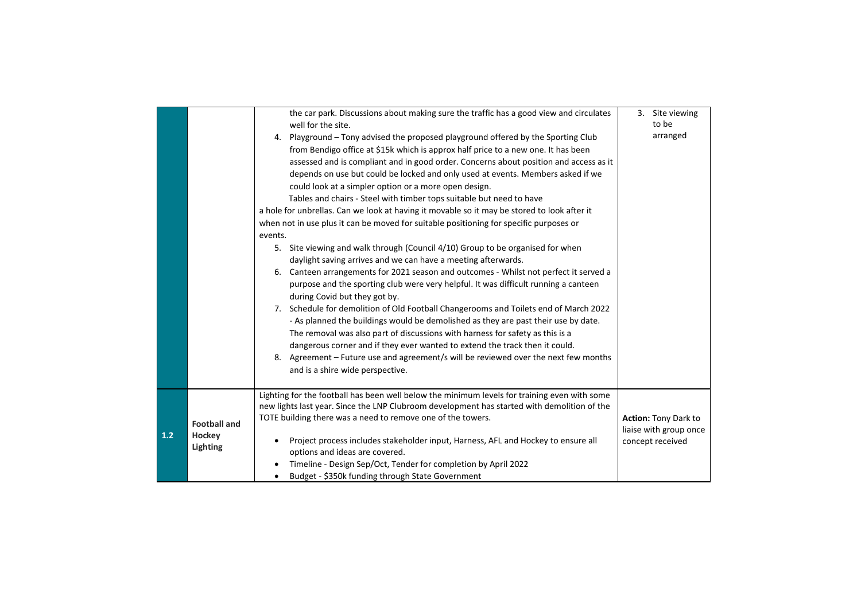|     |                                           | the car park. Discussions about making sure the traffic has a good view and circulates<br>well for the site.<br>4. Playground – Tony advised the proposed playground offered by the Sporting Club<br>from Bendigo office at \$15k which is approx half price to a new one. It has been<br>assessed and is compliant and in good order. Concerns about position and access as it<br>depends on use but could be locked and only used at events. Members asked if we<br>could look at a simpler option or a more open design.<br>Tables and chairs - Steel with timber tops suitable but need to have<br>a hole for unbrellas. Can we look at having it movable so it may be stored to look after it<br>when not in use plus it can be moved for suitable positioning for specific purposes or<br>events.<br>5. Site viewing and walk through (Council 4/10) Group to be organised for when<br>daylight saving arrives and we can have a meeting afterwards.<br>6. Canteen arrangements for 2021 season and outcomes - Whilst not perfect it served a<br>purpose and the sporting club were very helpful. It was difficult running a canteen<br>during Covid but they got by.<br>7. Schedule for demolition of Old Football Changerooms and Toilets end of March 2022<br>- As planned the buildings would be demolished as they are past their use by date.<br>The removal was also part of discussions with harness for safety as this is a<br>dangerous corner and if they ever wanted to extend the track then it could.<br>8. Agreement – Future use and agreement/s will be reviewed over the next few months<br>and is a shire wide perspective. | 3. Site viewing<br>to be<br>arranged                               |
|-----|-------------------------------------------|------------------------------------------------------------------------------------------------------------------------------------------------------------------------------------------------------------------------------------------------------------------------------------------------------------------------------------------------------------------------------------------------------------------------------------------------------------------------------------------------------------------------------------------------------------------------------------------------------------------------------------------------------------------------------------------------------------------------------------------------------------------------------------------------------------------------------------------------------------------------------------------------------------------------------------------------------------------------------------------------------------------------------------------------------------------------------------------------------------------------------------------------------------------------------------------------------------------------------------------------------------------------------------------------------------------------------------------------------------------------------------------------------------------------------------------------------------------------------------------------------------------------------------------------------------------------------------------------------------------------------------------------------|--------------------------------------------------------------------|
|     |                                           |                                                                                                                                                                                                                                                                                                                                                                                                                                                                                                                                                                                                                                                                                                                                                                                                                                                                                                                                                                                                                                                                                                                                                                                                                                                                                                                                                                                                                                                                                                                                                                                                                                                      |                                                                    |
| 1.2 | <b>Football and</b><br>Hockey<br>Lighting | Lighting for the football has been well below the minimum levels for training even with some<br>new lights last year. Since the LNP Clubroom development has started with demolition of the<br>TOTE building there was a need to remove one of the towers.<br>Project process includes stakeholder input, Harness, AFL and Hockey to ensure all<br>options and ideas are covered.<br>Timeline - Design Sep/Oct, Tender for completion by April 2022<br>Budget - \$350k funding through State Government                                                                                                                                                                                                                                                                                                                                                                                                                                                                                                                                                                                                                                                                                                                                                                                                                                                                                                                                                                                                                                                                                                                                              | Action: Tony Dark to<br>liaise with group once<br>concept received |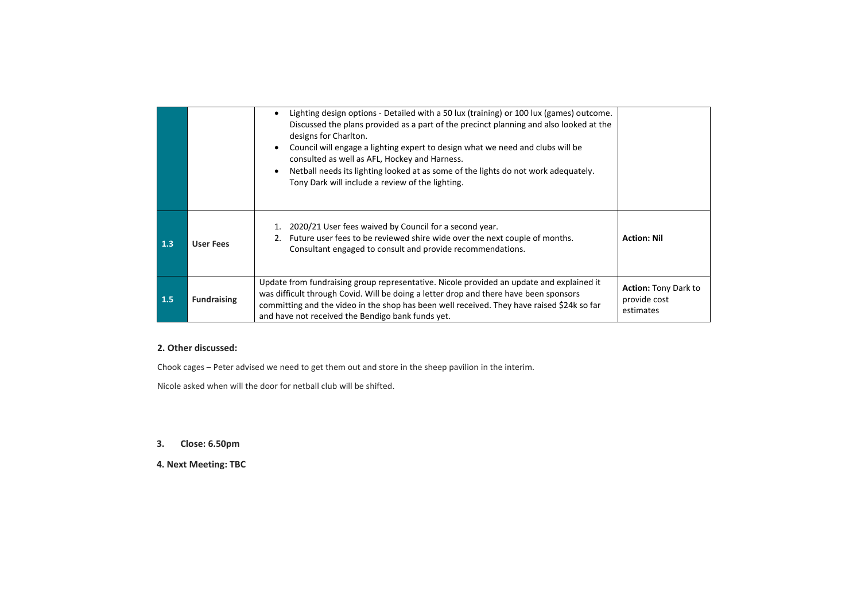|     |                    | Lighting design options - Detailed with a 50 lux (training) or 100 lux (games) outcome.<br>$\bullet$<br>Discussed the plans provided as a part of the precinct planning and also looked at the<br>designs for Charlton.<br>Council will engage a lighting expert to design what we need and clubs will be<br>٠<br>consulted as well as AFL, Hockey and Harness.<br>Netball needs its lighting looked at as some of the lights do not work adequately.<br>$\bullet$<br>Tony Dark will include a review of the lighting. |                                                          |
|-----|--------------------|------------------------------------------------------------------------------------------------------------------------------------------------------------------------------------------------------------------------------------------------------------------------------------------------------------------------------------------------------------------------------------------------------------------------------------------------------------------------------------------------------------------------|----------------------------------------------------------|
| 1.3 | <b>User Fees</b>   | 2020/21 User fees waived by Council for a second year.<br>1.<br>2. Future user fees to be reviewed shire wide over the next couple of months.<br>Consultant engaged to consult and provide recommendations.                                                                                                                                                                                                                                                                                                            | <b>Action: Nil</b>                                       |
| 1.5 | <b>Fundraising</b> | Update from fundraising group representative. Nicole provided an update and explained it<br>was difficult through Covid. Will be doing a letter drop and there have been sponsors<br>committing and the video in the shop has been well received. They have raised \$24k so far<br>and have not received the Bendigo bank funds yet.                                                                                                                                                                                   | <b>Action: Tony Dark to</b><br>provide cost<br>estimates |

#### 2. Other discussed:

Chook cages - Peter advised we need to get them out and store in the sheep pavilion in the interim.

Nicole asked when will the door for netball club will be shifted.

#### 3. Close: 6.50pm

4. Next Meeting: TBC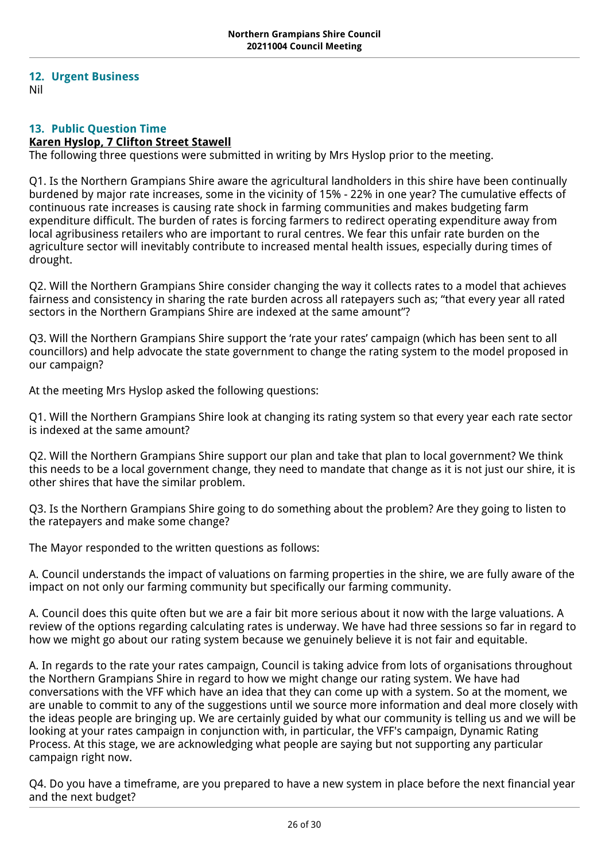## <span id="page-25-0"></span>**12. Urgent Business**

Nil

## <span id="page-25-1"></span>**13. Public Question Time**

## **Karen Hyslop, 7 Clifton Street Stawell**

The following three questions were submitted in writing by Mrs Hyslop prior to the meeting.

Q1. Is the Northern Grampians Shire aware the agricultural landholders in this shire have been continually burdened by major rate increases, some in the vicinity of 15% - 22% in one year? The cumulative effects of continuous rate increases is causing rate shock in farming communities and makes budgeting farm expenditure difficult. The burden of rates is forcing farmers to redirect operating expenditure away from local agribusiness retailers who are important to rural centres. We fear this unfair rate burden on the agriculture sector will inevitably contribute to increased mental health issues, especially during times of drought.

Q2. Will the Northern Grampians Shire consider changing the way it collects rates to a model that achieves fairness and consistency in sharing the rate burden across all ratepayers such as; "that every year all rated sectors in the Northern Grampians Shire are indexed at the same amount"?

Q3. Will the Northern Grampians Shire support the 'rate your rates' campaign (which has been sent to all councillors) and help advocate the state government to change the rating system to the model proposed in our campaign?

At the meeting Mrs Hyslop asked the following questions:

Q1. Will the Northern Grampians Shire look at changing its rating system so that every year each rate sector is indexed at the same amount?

Q2. Will the Northern Grampians Shire support our plan and take that plan to local government? We think this needs to be a local government change, they need to mandate that change as it is not just our shire, it is other shires that have the similar problem.

Q3. Is the Northern Grampians Shire going to do something about the problem? Are they going to listen to the ratepayers and make some change?

The Mayor responded to the written questions as follows:

A. Council understands the impact of valuations on farming properties in the shire, we are fully aware of the impact on not only our farming community but specifically our farming community.

A. Council does this quite often but we are a fair bit more serious about it now with the large valuations. A review of the options regarding calculating rates is underway. We have had three sessions so far in regard to how we might go about our rating system because we genuinely believe it is not fair and equitable.

A. In regards to the rate your rates campaign, Council is taking advice from lots of organisations throughout the Northern Grampians Shire in regard to how we might change our rating system. We have had conversations with the VFF which have an idea that they can come up with a system. So at the moment, we are unable to commit to any of the suggestions until we source more information and deal more closely with the ideas people are bringing up. We are certainly guided by what our community is telling us and we will be looking at your rates campaign in conjunction with, in particular, the VFF's campaign, Dynamic Rating Process. At this stage, we are acknowledging what people are saying but not supporting any particular campaign right now.

Q4. Do you have a timeframe, are you prepared to have a new system in place before the next financial year and the next budget?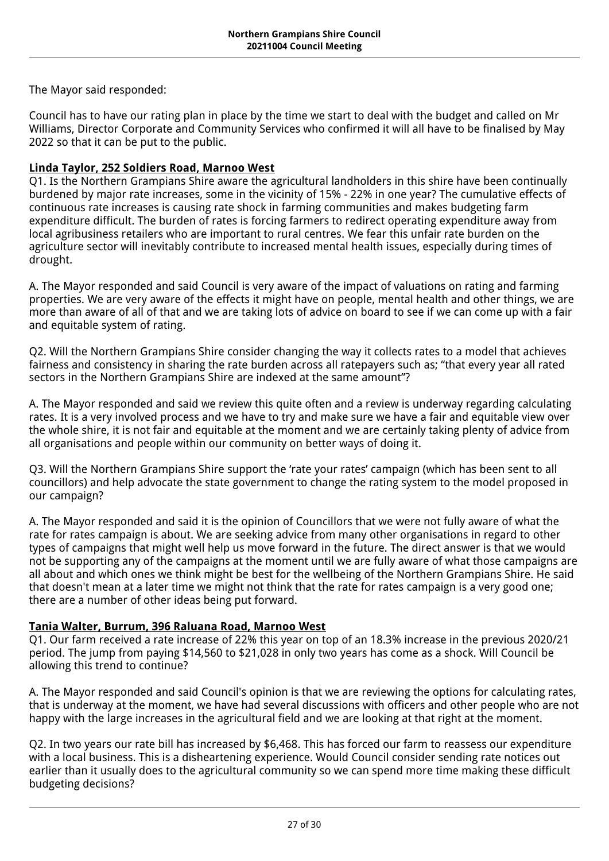The Mayor said responded:

Council has to have our rating plan in place by the time we start to deal with the budget and called on Mr Williams, Director Corporate and Community Services who confirmed it will all have to be finalised by May 2022 so that it can be put to the public.

## **Linda Taylor, 252 Soldiers Road, Marnoo West**

Q1. Is the Northern Grampians Shire aware the agricultural landholders in this shire have been continually burdened by major rate increases, some in the vicinity of 15% - 22% in one year? The cumulative effects of continuous rate increases is causing rate shock in farming communities and makes budgeting farm expenditure difficult. The burden of rates is forcing farmers to redirect operating expenditure away from local agribusiness retailers who are important to rural centres. We fear this unfair rate burden on the agriculture sector will inevitably contribute to increased mental health issues, especially during times of drought.

A. The Mayor responded and said Council is very aware of the impact of valuations on rating and farming properties. We are very aware of the effects it might have on people, mental health and other things, we are more than aware of all of that and we are taking lots of advice on board to see if we can come up with a fair and equitable system of rating.

Q2. Will the Northern Grampians Shire consider changing the way it collects rates to a model that achieves fairness and consistency in sharing the rate burden across all ratepayers such as; "that every year all rated sectors in the Northern Grampians Shire are indexed at the same amount"?

A. The Mayor responded and said we review this quite often and a review is underway regarding calculating rates. It is a very involved process and we have to try and make sure we have a fair and equitable view over the whole shire, it is not fair and equitable at the moment and we are certainly taking plenty of advice from all organisations and people within our community on better ways of doing it.

Q3. Will the Northern Grampians Shire support the 'rate your rates' campaign (which has been sent to all councillors) and help advocate the state government to change the rating system to the model proposed in our campaign?

A. The Mayor responded and said it is the opinion of Councillors that we were not fully aware of what the rate for rates campaign is about. We are seeking advice from many other organisations in regard to other types of campaigns that might well help us move forward in the future. The direct answer is that we would not be supporting any of the campaigns at the moment until we are fully aware of what those campaigns are all about and which ones we think might be best for the wellbeing of the Northern Grampians Shire. He said that doesn't mean at a later time we might not think that the rate for rates campaign is a very good one; there are a number of other ideas being put forward.

## **Tania Walter, Burrum, 396 Raluana Road, Marnoo West**

Q1. Our farm received a rate increase of 22% this year on top of an 18.3% increase in the previous 2020/21 period. The jump from paying \$14,560 to \$21,028 in only two years has come as a shock. Will Council be allowing this trend to continue?

A. The Mayor responded and said Council's opinion is that we are reviewing the options for calculating rates, that is underway at the moment, we have had several discussions with officers and other people who are not happy with the large increases in the agricultural field and we are looking at that right at the moment.

Q2. In two years our rate bill has increased by \$6,468. This has forced our farm to reassess our expenditure with a local business. This is a disheartening experience. Would Council consider sending rate notices out earlier than it usually does to the agricultural community so we can spend more time making these difficult budgeting decisions?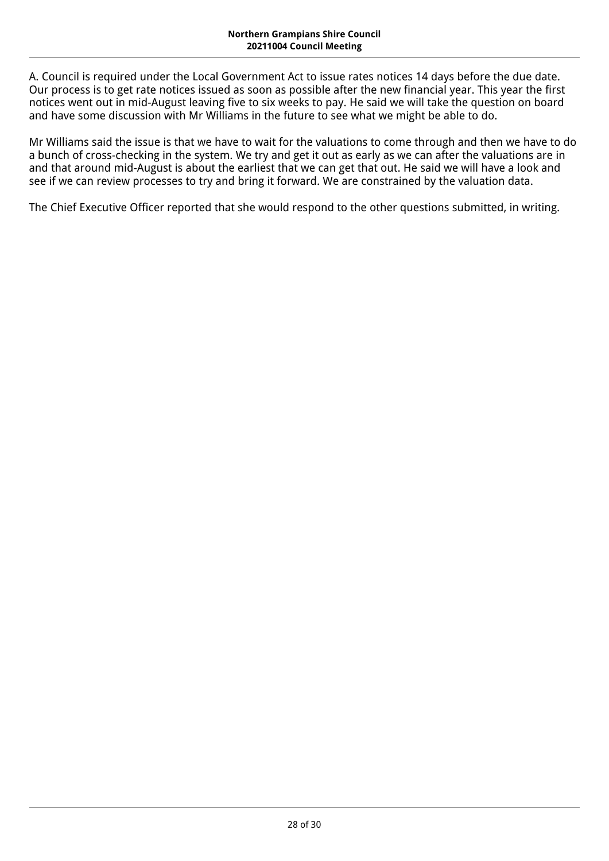A. Council is required under the Local Government Act to issue rates notices 14 days before the due date. Our process is to get rate notices issued as soon as possible after the new financial year. This year the first notices went out in mid-August leaving five to six weeks to pay. He said we will take the question on board and have some discussion with Mr Williams in the future to see what we might be able to do.

Mr Williams said the issue is that we have to wait for the valuations to come through and then we have to do a bunch of cross-checking in the system. We try and get it out as early as we can after the valuations are in and that around mid-August is about the earliest that we can get that out. He said we will have a look and see if we can review processes to try and bring it forward. We are constrained by the valuation data.

The Chief Executive Officer reported that she would respond to the other questions submitted, in writing.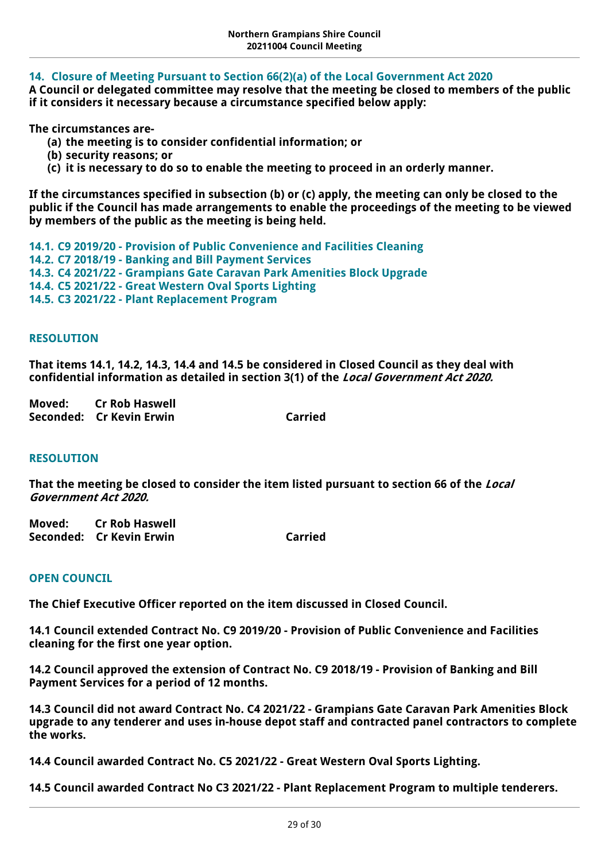## <span id="page-28-0"></span>**14. Closure of Meeting Pursuant to Section 66(2)(a) of the Local Government Act 2020**

**A Council or delegated committee may resolve that the meeting be closed to members of the public if it considers it necessary because a circumstance specified below apply:** 

**The circumstances are-**

- **(a) the meeting is to consider confidential information; or**
- **(b) security reasons; or**
- **(c) it is necessary to do so to enable the meeting to proceed in an orderly manner.**

**If the circumstances specified in subsection (b) or (c) apply, the meeting can only be closed to the public if the Council has made arrangements to enable the proceedings of the meeting to be viewed by members of the public as the meeting is being held.**

<span id="page-28-3"></span><span id="page-28-2"></span><span id="page-28-1"></span>**14.1. C9 2019/20 - Provision of Public Convenience and Facilities Cleaning 14.2. C7 2018/19 - Banking and Bill Payment Services 14.3. C4 2021/22 - Grampians Gate Caravan Park Amenities Block Upgrade 14.4. C5 2021/22 - Great Western Oval Sports Lighting**

<span id="page-28-5"></span><span id="page-28-4"></span>**14.5. C3 2021/22 - Plant Replacement Program**

## **RESOLUTION**

**That items 14.1, 14.2, 14.3, 14.4 and 14.5 be considered in Closed Council as they deal with confidential information as detailed in section 3(1) of the** *Local Government Act 2020.*

**Moved: Cr Rob Haswell Seconded: Cr Kevin Erwin** Carried

### **RESOLUTION**

**That the meeting be closed to consider the item listed pursuant to section 66 of the** *Local Government Act 2020.*

| Moved: | Cr Rob Haswell           |                |
|--------|--------------------------|----------------|
|        | Seconded: Cr Kevin Erwin | <b>Carried</b> |

## **OPEN COUNCIL**

**The Chief Executive Officer reported on the item discussed in Closed Council.**

**14.1 Council extended Contract No. C9 2019/20 - Provision of Public Convenience and Facilities cleaning for the first one year option.**

**14.2 Council approved the extension of Contract No. C9 2018/19 - Provision of Banking and Bill Payment Services for a period of 12 months.**

**14.3 Council did not award Contract No. C4 2021/22 - Grampians Gate Caravan Park Amenities Block upgrade to any tenderer and uses in-house depot staff and contracted panel contractors to complete the works.**

**14.4 Council awarded Contract No. C5 2021/22 - Great Western Oval Sports Lighting.**

**14.5 Council awarded Contract No C3 2021/22 - Plant Replacement Program to multiple tenderers.**